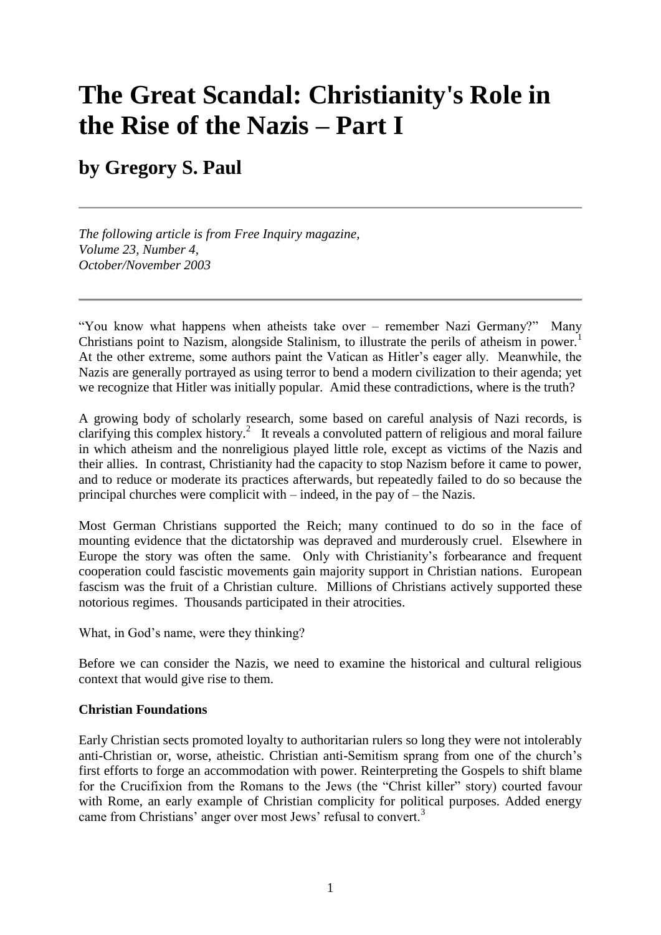# **The Great Scandal: Christianity's Role in the Rise of the Nazis – Part I**

**by Gregory S. Paul**

*The following article is from Free Inquiry magazine, Volume 23, Number 4, October/November 2003*

"You know what happens when atheists take over – remember Nazi Germany?" Many Christians point to Nazism, alongside Stalinism, to illustrate the perils of atheism in power.<sup>1</sup> At the other extreme, some authors paint the Vatican as Hitler's eager ally. Meanwhile, the Nazis are generally portrayed as using terror to bend a modern civilization to their agenda; yet we recognize that Hitler was initially popular. Amid these contradictions, where is the truth?

A growing body of scholarly research, some based on careful analysis of Nazi records, is clarifying this complex history.<sup>2</sup> It reveals a convoluted pattern of religious and moral failure in which atheism and the nonreligious played little role, except as victims of the Nazis and their allies. In contrast, Christianity had the capacity to stop Nazism before it came to power, and to reduce or moderate its practices afterwards, but repeatedly failed to do so because the principal churches were complicit with – indeed, in the pay of – the Nazis.

Most German Christians supported the Reich; many continued to do so in the face of mounting evidence that the dictatorship was depraved and murderously cruel. Elsewhere in Europe the story was often the same. Only with Christianity's forbearance and frequent cooperation could fascistic movements gain majority support in Christian nations. European fascism was the fruit of a Christian culture. Millions of Christians actively supported these notorious regimes. Thousands participated in their atrocities.

What, in God's name, were they thinking?

Before we can consider the Nazis, we need to examine the historical and cultural religious context that would give rise to them.

## **Christian Foundations**

Early Christian sects promoted loyalty to authoritarian rulers so long they were not intolerably anti-Christian or, worse, atheistic. Christian anti-Semitism sprang from one of the church's first efforts to forge an accommodation with power. Reinterpreting the Gospels to shift blame for the Crucifixion from the Romans to the Jews (the "Christ killer" story) courted favour with Rome, an early example of Christian complicity for political purposes. Added energy came from Christians' anger over most Jews' refusal to convert.<sup>3</sup>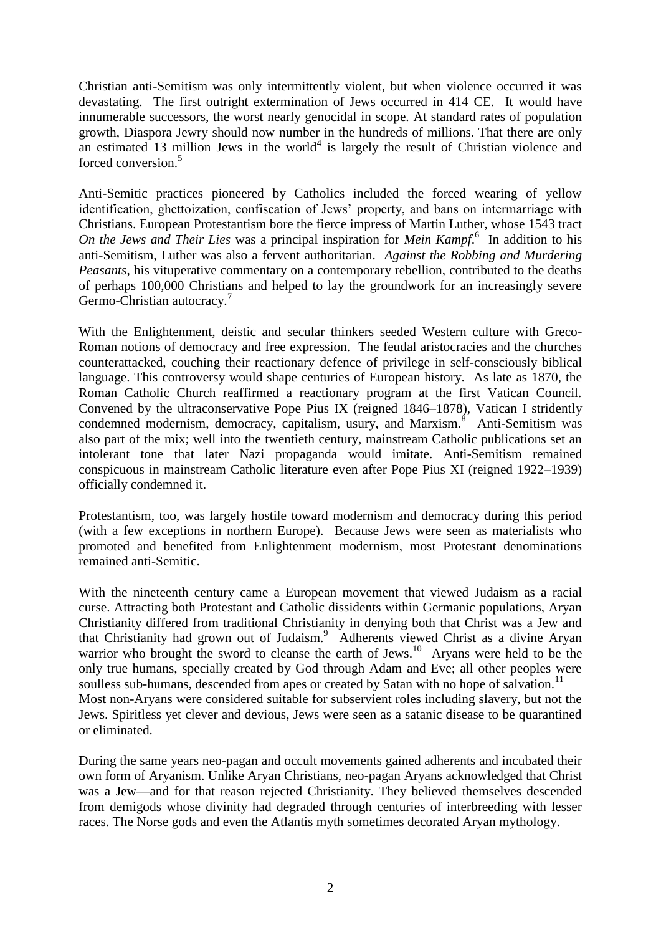Christian anti-Semitism was only intermittently violent, but when violence occurred it was devastating. The first outright extermination of Jews occurred in 414 CE. It would have innumerable successors, the worst nearly genocidal in scope. At standard rates of population growth, Diaspora Jewry should now number in the hundreds of millions. That there are only an estimated 13 million Jews in the world<sup>4</sup> is largely the result of Christian violence and forced conversion.<sup>5</sup>

Anti-Semitic practices pioneered by Catholics included the forced wearing of yellow identification, ghettoization, confiscation of Jews' property, and bans on intermarriage with Christians. European Protestantism bore the fierce impress of Martin Luther, whose 1543 tract *On the Jews and Their Lies* was a principal inspiration for *Mein Kampf*. 6 In addition to his anti-Semitism, Luther was also a fervent authoritarian. *Against the Robbing and Murdering Peasants*, his vituperative commentary on a contemporary rebellion, contributed to the deaths of perhaps 100,000 Christians and helped to lay the groundwork for an increasingly severe Germo-Christian autocracy.<sup>7</sup>

With the Enlightenment, deistic and secular thinkers seeded Western culture with Greco-Roman notions of democracy and free expression. The feudal aristocracies and the churches counterattacked, couching their reactionary defence of privilege in self-consciously biblical language. This controversy would shape centuries of European history. As late as 1870, the Roman Catholic Church reaffirmed a reactionary program at the first Vatican Council. Convened by the ultraconservative Pope Pius IX (reigned 1846–1878), Vatican I stridently condemned modernism, democracy, capitalism, usury, and Marxism.<sup>8</sup> Anti-Semitism was also part of the mix; well into the twentieth century, mainstream Catholic publications set an intolerant tone that later Nazi propaganda would imitate. Anti-Semitism remained conspicuous in mainstream Catholic literature even after Pope Pius XI (reigned 1922–1939) officially condemned it.

Protestantism, too, was largely hostile toward modernism and democracy during this period (with a few exceptions in northern Europe). Because Jews were seen as materialists who promoted and benefited from Enlightenment modernism, most Protestant denominations remained anti-Semitic.

With the nineteenth century came a European movement that viewed Judaism as a racial curse. Attracting both Protestant and Catholic dissidents within Germanic populations, Aryan Christianity differed from traditional Christianity in denying both that Christ was a Jew and that Christianity had grown out of Judaism.<sup>9</sup> Adherents viewed Christ as a divine Aryan warrior who brought the sword to cleanse the earth of Jews.<sup>10</sup> Aryans were held to be the only true humans, specially created by God through Adam and Eve; all other peoples were soulless sub-humans, descended from apes or created by Satan with no hope of salvation.<sup>11</sup> Most non-Aryans were considered suitable for subservient roles including slavery, but not the Jews. Spiritless yet clever and devious, Jews were seen as a satanic disease to be quarantined or eliminated.

During the same years neo-pagan and occult movements gained adherents and incubated their own form of Aryanism. Unlike Aryan Christians, neo-pagan Aryans acknowledged that Christ was a Jew—and for that reason rejected Christianity. They believed themselves descended from demigods whose divinity had degraded through centuries of interbreeding with lesser races. The Norse gods and even the Atlantis myth sometimes decorated Aryan mythology.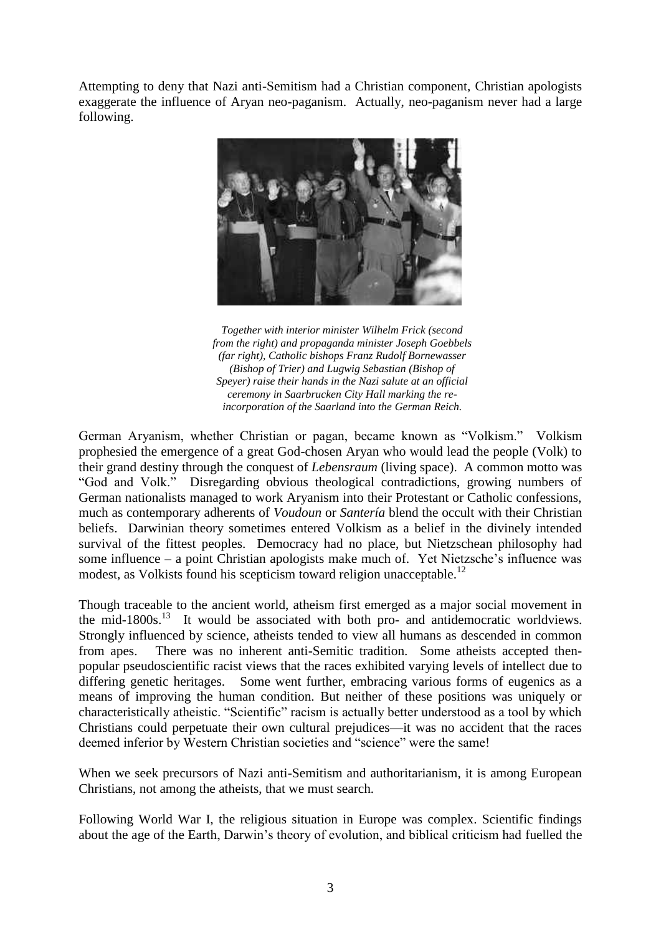Attempting to deny that Nazi anti-Semitism had a Christian component, Christian apologists exaggerate the influence of Aryan neo-paganism. Actually, neo-paganism never had a large following.



*Together with interior minister Wilhelm Frick (second from the right) and propaganda minister Joseph Goebbels (far right), Catholic bishops Franz Rudolf Bornewasser (Bishop of Trier) and Lugwig Sebastian (Bishop of Speyer) raise their hands in the Nazi salute at an official ceremony in Saarbrucken City Hall marking the reincorporation of the Saarland into the German Reich.*

German Aryanism, whether Christian or pagan, became known as "Volkism." Volkism prophesied the emergence of a great God-chosen Aryan who would lead the people (Volk) to their grand destiny through the conquest of *Lebensraum* (living space). A common motto was "God and Volk." Disregarding obvious theological contradictions, growing numbers of German nationalists managed to work Aryanism into their Protestant or Catholic confessions, much as contemporary adherents of *Voudoun* or *Santería* blend the occult with their Christian beliefs. Darwinian theory sometimes entered Volkism as a belief in the divinely intended survival of the fittest peoples. Democracy had no place, but Nietzschean philosophy had some influence – a point Christian apologists make much of. Yet Nietzsche's influence was modest, as Volkists found his scepticism toward religion unacceptable.<sup>12</sup>

Though traceable to the ancient world, atheism first emerged as a major social movement in the mid-1800s.<sup>13</sup> It would be associated with both pro- and antidemocratic worldviews. Strongly influenced by science, atheists tended to view all humans as descended in common from apes. There was no inherent anti-Semitic tradition. Some atheists accepted thenpopular pseudoscientific racist views that the races exhibited varying levels of intellect due to differing genetic heritages. Some went further, embracing various forms of eugenics as a means of improving the human condition. But neither of these positions was uniquely or characteristically atheistic. "Scientific" racism is actually better understood as a tool by which Christians could perpetuate their own cultural prejudices—it was no accident that the races deemed inferior by Western Christian societies and "science" were the same!

When we seek precursors of Nazi anti-Semitism and authoritarianism, it is among European Christians, not among the atheists, that we must search.

Following World War I, the religious situation in Europe was complex. Scientific findings about the age of the Earth, Darwin's theory of evolution, and biblical criticism had fuelled the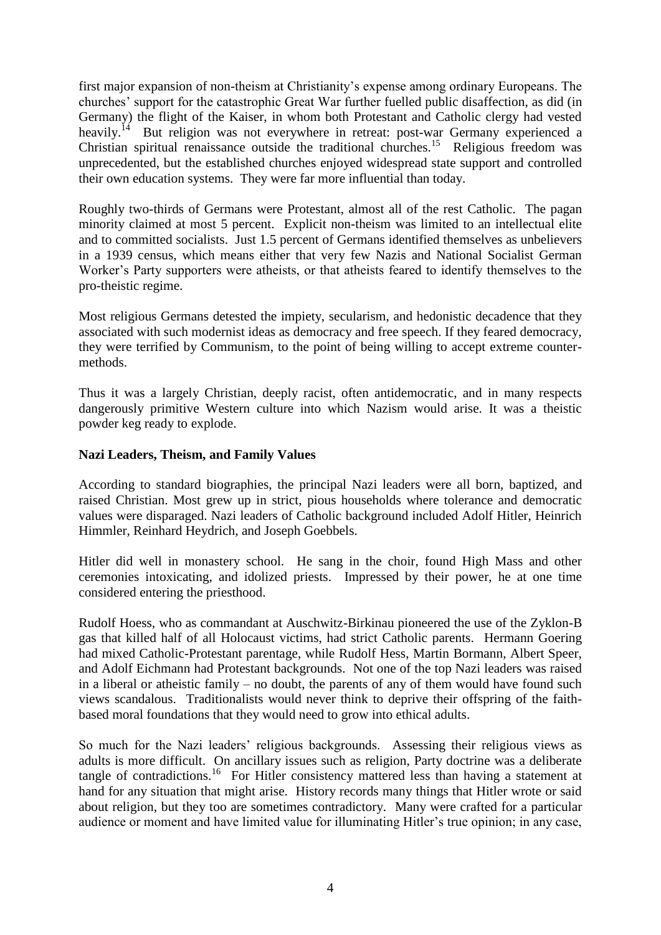first major expansion of non-theism at Christianity's expense among ordinary Europeans. The churches' support for the catastrophic Great War further fuelled public disaffection, as did (in Germany) the flight of the Kaiser, in whom both Protestant and Catholic clergy had vested heavily.<sup>14</sup> But religion was not everywhere in retreat: post-war Germany experienced a Christian spiritual renaissance outside the traditional churches.<sup>15</sup> Religious freedom was unprecedented, but the established churches enjoyed widespread state support and controlled their own education systems. They were far more influential than today.

Roughly two-thirds of Germans were Protestant, almost all of the rest Catholic. The pagan minority claimed at most 5 percent. Explicit non-theism was limited to an intellectual elite and to committed socialists. Just 1.5 percent of Germans identified themselves as unbelievers in a 1939 census, which means either that very few Nazis and National Socialist German Worker's Party supporters were atheists, or that atheists feared to identify themselves to the pro-theistic regime.

Most religious Germans detested the impiety, secularism, and hedonistic decadence that they associated with such modernist ideas as democracy and free speech. If they feared democracy, they were terrified by Communism, to the point of being willing to accept extreme countermethods.

Thus it was a largely Christian, deeply racist, often antidemocratic, and in many respects dangerously primitive Western culture into which Nazism would arise. It was a theistic powder keg ready to explode.

# **Nazi Leaders, Theism, and Family Values**

According to standard biographies, the principal Nazi leaders were all born, baptized, and raised Christian. Most grew up in strict, pious households where tolerance and democratic values were disparaged. Nazi leaders of Catholic background included Adolf Hitler, Heinrich Himmler, Reinhard Heydrich, and Joseph Goebbels.

Hitler did well in monastery school. He sang in the choir, found High Mass and other ceremonies intoxicating, and idolized priests. Impressed by their power, he at one time considered entering the priesthood.

Rudolf Hoess, who as commandant at Auschwitz-Birkinau pioneered the use of the Zyklon-B gas that killed half of all Holocaust victims, had strict Catholic parents. Hermann Goering had mixed Catholic-Protestant parentage, while Rudolf Hess, Martin Bormann, Albert Speer, and Adolf Eichmann had Protestant backgrounds. Not one of the top Nazi leaders was raised in a liberal or atheistic family – no doubt, the parents of any of them would have found such views scandalous. Traditionalists would never think to deprive their offspring of the faithbased moral foundations that they would need to grow into ethical adults.

So much for the Nazi leaders' religious backgrounds. Assessing their religious views as adults is more difficult. On ancillary issues such as religion, Party doctrine was a deliberate tangle of contradictions.<sup>16</sup> For Hitler consistency mattered less than having a statement at hand for any situation that might arise. History records many things that Hitler wrote or said about religion, but they too are sometimes contradictory. Many were crafted for a particular audience or moment and have limited value for illuminating Hitler's true opinion; in any case,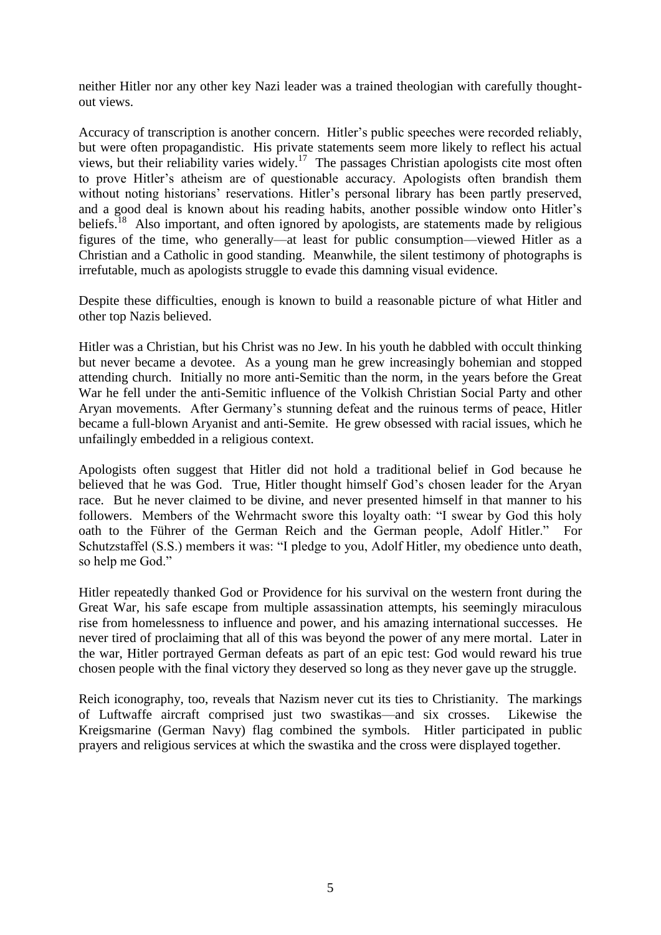neither Hitler nor any other key Nazi leader was a trained theologian with carefully thoughtout views.

Accuracy of transcription is another concern. Hitler's public speeches were recorded reliably, but were often propagandistic. His private statements seem more likely to reflect his actual views, but their reliability varies widely.<sup>17</sup> The passages Christian apologists cite most often to prove Hitler's atheism are of questionable accuracy. Apologists often brandish them without noting historians' reservations. Hitler's personal library has been partly preserved, and a good deal is known about his reading habits, another possible window onto Hitler's beliefs.<sup>18</sup> Also important, and often ignored by apologists, are statements made by religious figures of the time, who generally—at least for public consumption—viewed Hitler as a Christian and a Catholic in good standing. Meanwhile, the silent testimony of photographs is irrefutable, much as apologists struggle to evade this damning visual evidence.

Despite these difficulties, enough is known to build a reasonable picture of what Hitler and other top Nazis believed.

Hitler was a Christian, but his Christ was no Jew. In his youth he dabbled with occult thinking but never became a devotee. As a young man he grew increasingly bohemian and stopped attending church. Initially no more anti-Semitic than the norm, in the years before the Great War he fell under the anti-Semitic influence of the Volkish Christian Social Party and other Aryan movements. After Germany's stunning defeat and the ruinous terms of peace, Hitler became a full-blown Aryanist and anti-Semite. He grew obsessed with racial issues, which he unfailingly embedded in a religious context.

Apologists often suggest that Hitler did not hold a traditional belief in God because he believed that he was God. True, Hitler thought himself God's chosen leader for the Aryan race. But he never claimed to be divine, and never presented himself in that manner to his followers. Members of the Wehrmacht swore this loyalty oath: "I swear by God this holy oath to the Führer of the German Reich and the German people, Adolf Hitler." For Schutzstaffel (S.S.) members it was: "I pledge to you, Adolf Hitler, my obedience unto death, so help me God."

Hitler repeatedly thanked God or Providence for his survival on the western front during the Great War, his safe escape from multiple assassination attempts, his seemingly miraculous rise from homelessness to influence and power, and his amazing international successes. He never tired of proclaiming that all of this was beyond the power of any mere mortal. Later in the war, Hitler portrayed German defeats as part of an epic test: God would reward his true chosen people with the final victory they deserved so long as they never gave up the struggle.

Reich iconography, too, reveals that Nazism never cut its ties to Christianity. The markings of Luftwaffe aircraft comprised just two swastikas—and six crosses. Likewise the Kreigsmarine (German Navy) flag combined the symbols. Hitler participated in public prayers and religious services at which the swastika and the cross were displayed together.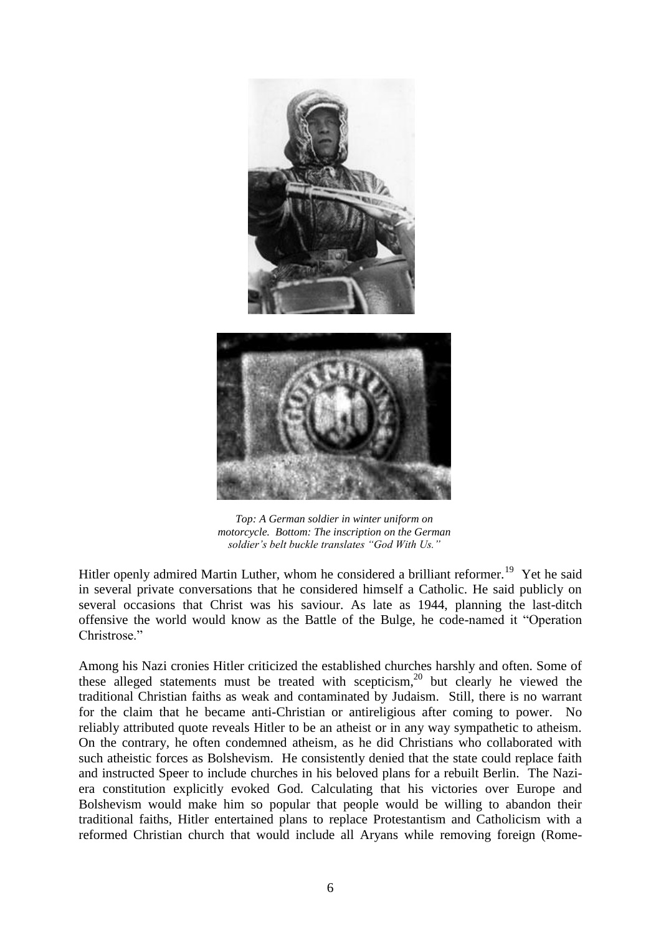

*Top: A German soldier in winter uniform on motorcycle. Bottom: The inscription on the German soldier's belt buckle translates "God With Us."*

Hitler openly admired Martin Luther, whom he considered a brilliant reformer.<sup>19</sup> Yet he said in several private conversations that he considered himself a Catholic. He said publicly on several occasions that Christ was his saviour. As late as 1944, planning the last-ditch offensive the world would know as the Battle of the Bulge, he code-named it "Operation Christrose."

Among his Nazi cronies Hitler criticized the established churches harshly and often. Some of these alleged statements must be treated with scepticism,<sup>20</sup> but clearly he viewed the traditional Christian faiths as weak and contaminated by Judaism. Still, there is no warrant for the claim that he became anti-Christian or antireligious after coming to power. No reliably attributed quote reveals Hitler to be an atheist or in any way sympathetic to atheism. On the contrary, he often condemned atheism, as he did Christians who collaborated with such atheistic forces as Bolshevism. He consistently denied that the state could replace faith and instructed Speer to include churches in his beloved plans for a rebuilt Berlin. The Naziera constitution explicitly evoked God. Calculating that his victories over Europe and Bolshevism would make him so popular that people would be willing to abandon their traditional faiths, Hitler entertained plans to replace Protestantism and Catholicism with a reformed Christian church that would include all Aryans while removing foreign (Rome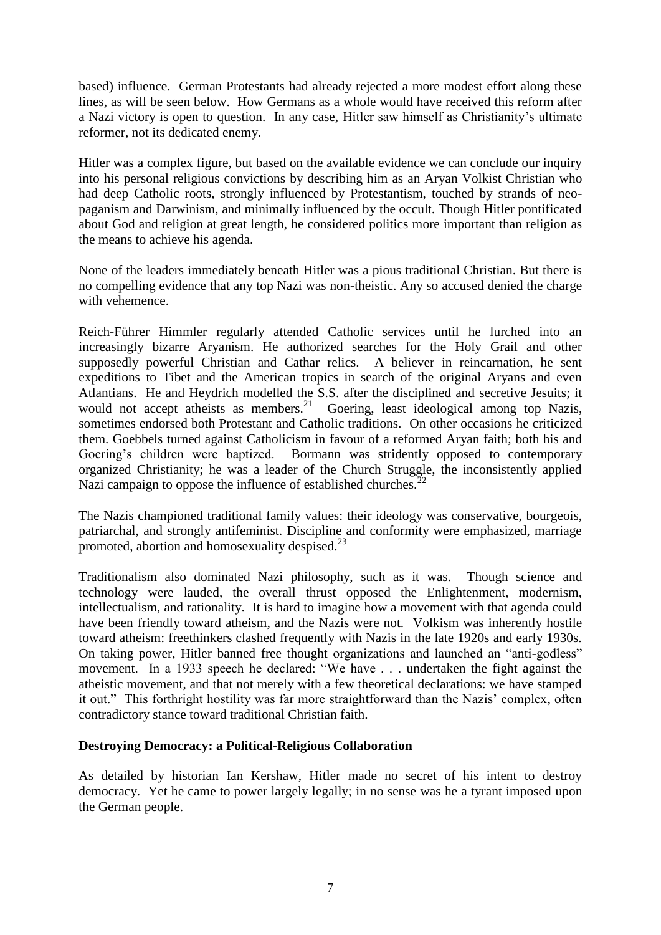based) influence. German Protestants had already rejected a more modest effort along these lines, as will be seen below. How Germans as a whole would have received this reform after a Nazi victory is open to question. In any case, Hitler saw himself as Christianity's ultimate reformer, not its dedicated enemy.

Hitler was a complex figure, but based on the available evidence we can conclude our inquiry into his personal religious convictions by describing him as an Aryan Volkist Christian who had deep Catholic roots, strongly influenced by Protestantism, touched by strands of neopaganism and Darwinism, and minimally influenced by the occult. Though Hitler pontificated about God and religion at great length, he considered politics more important than religion as the means to achieve his agenda.

None of the leaders immediately beneath Hitler was a pious traditional Christian. But there is no compelling evidence that any top Nazi was non-theistic. Any so accused denied the charge with vehemence.

Reich-Führer Himmler regularly attended Catholic services until he lurched into an increasingly bizarre Aryanism. He authorized searches for the Holy Grail and other supposedly powerful Christian and Cathar relics. A believer in reincarnation, he sent expeditions to Tibet and the American tropics in search of the original Aryans and even Atlantians. He and Heydrich modelled the S.S. after the disciplined and secretive Jesuits; it would not accept atheists as members.<sup>21</sup> Goering, least ideological among top Nazis, sometimes endorsed both Protestant and Catholic traditions. On other occasions he criticized them. Goebbels turned against Catholicism in favour of a reformed Aryan faith; both his and Goering's children were baptized. Bormann was stridently opposed to contemporary organized Christianity; he was a leader of the Church Struggle, the inconsistently applied Nazi campaign to oppose the influence of established churches.<sup>22</sup>

The Nazis championed traditional family values: their ideology was conservative, bourgeois, patriarchal, and strongly antifeminist. Discipline and conformity were emphasized, marriage promoted, abortion and homosexuality despised. $^{23}$ 

Traditionalism also dominated Nazi philosophy, such as it was. Though science and technology were lauded, the overall thrust opposed the Enlightenment, modernism, intellectualism, and rationality. It is hard to imagine how a movement with that agenda could have been friendly toward atheism, and the Nazis were not. Volkism was inherently hostile toward atheism: freethinkers clashed frequently with Nazis in the late 1920s and early 1930s. On taking power, Hitler banned free thought organizations and launched an "anti-godless" movement. In a 1933 speech he declared: "We have . . . undertaken the fight against the atheistic movement, and that not merely with a few theoretical declarations: we have stamped it out." This forthright hostility was far more straightforward than the Nazis' complex, often contradictory stance toward traditional Christian faith.

## **Destroying Democracy: a Political-Religious Collaboration**

As detailed by historian Ian Kershaw, Hitler made no secret of his intent to destroy democracy. Yet he came to power largely legally; in no sense was he a tyrant imposed upon the German people.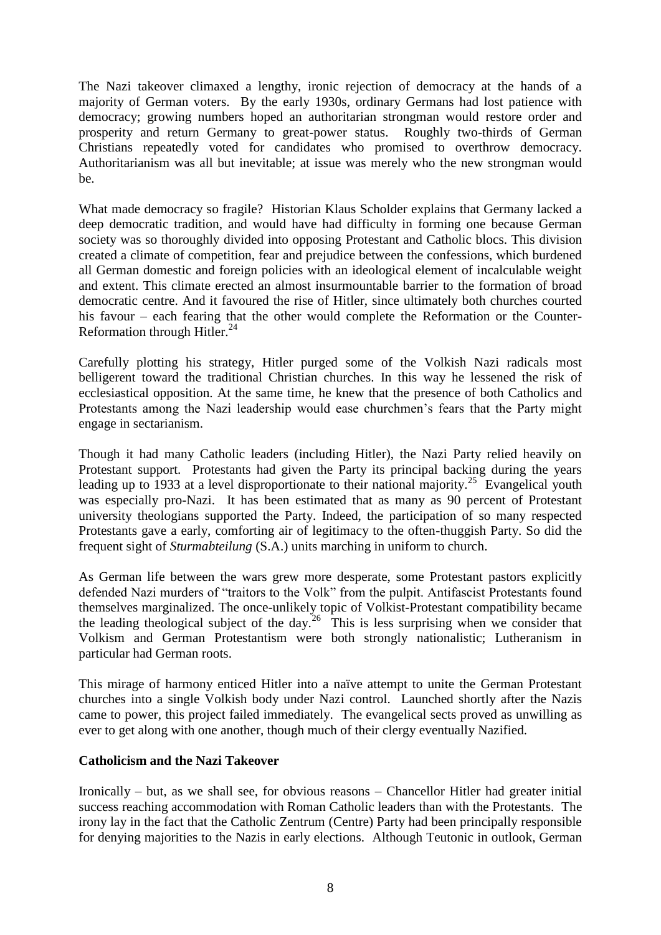The Nazi takeover climaxed a lengthy, ironic rejection of democracy at the hands of a majority of German voters. By the early 1930s, ordinary Germans had lost patience with democracy; growing numbers hoped an authoritarian strongman would restore order and prosperity and return Germany to great-power status. Roughly two-thirds of German Christians repeatedly voted for candidates who promised to overthrow democracy. Authoritarianism was all but inevitable; at issue was merely who the new strongman would be.

What made democracy so fragile? Historian Klaus Scholder explains that Germany lacked a deep democratic tradition, and would have had difficulty in forming one because German society was so thoroughly divided into opposing Protestant and Catholic blocs. This division created a climate of competition, fear and prejudice between the confessions, which burdened all German domestic and foreign policies with an ideological element of incalculable weight and extent. This climate erected an almost insurmountable barrier to the formation of broad democratic centre. And it favoured the rise of Hitler, since ultimately both churches courted his favour – each fearing that the other would complete the Reformation or the Counter-Reformation through Hitler. $^{24}$ 

Carefully plotting his strategy, Hitler purged some of the Volkish Nazi radicals most belligerent toward the traditional Christian churches. In this way he lessened the risk of ecclesiastical opposition. At the same time, he knew that the presence of both Catholics and Protestants among the Nazi leadership would ease churchmen's fears that the Party might engage in sectarianism.

Though it had many Catholic leaders (including Hitler), the Nazi Party relied heavily on Protestant support. Protestants had given the Party its principal backing during the years leading up to 1933 at a level disproportionate to their national majority.<sup>25</sup> Evangelical youth was especially pro-Nazi. It has been estimated that as many as 90 percent of Protestant university theologians supported the Party. Indeed, the participation of so many respected Protestants gave a early, comforting air of legitimacy to the often-thuggish Party. So did the frequent sight of *Sturmabteilung* (S.A.) units marching in uniform to church.

As German life between the wars grew more desperate, some Protestant pastors explicitly defended Nazi murders of "traitors to the Volk" from the pulpit. Antifascist Protestants found themselves marginalized. The once-unlikely topic of Volkist-Protestant compatibility became the leading theological subject of the day.<sup>26</sup> This is less surprising when we consider that Volkism and German Protestantism were both strongly nationalistic; Lutheranism in particular had German roots.

This mirage of harmony enticed Hitler into a naïve attempt to unite the German Protestant churches into a single Volkish body under Nazi control. Launched shortly after the Nazis came to power, this project failed immediately. The evangelical sects proved as unwilling as ever to get along with one another, though much of their clergy eventually Nazified.

# **Catholicism and the Nazi Takeover**

Ironically – but, as we shall see, for obvious reasons – Chancellor Hitler had greater initial success reaching accommodation with Roman Catholic leaders than with the Protestants. The irony lay in the fact that the Catholic Zentrum (Centre) Party had been principally responsible for denying majorities to the Nazis in early elections. Although Teutonic in outlook, German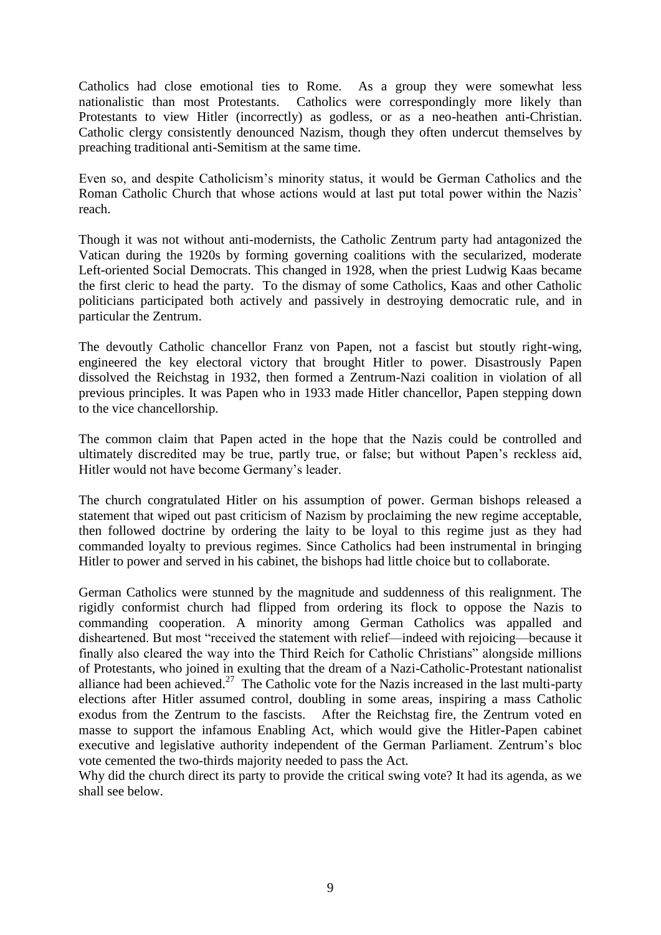Catholics had close emotional ties to Rome. As a group they were somewhat less nationalistic than most Protestants. Catholics were correspondingly more likely than Protestants to view Hitler (incorrectly) as godless, or as a neo-heathen anti-Christian. Catholic clergy consistently denounced Nazism, though they often undercut themselves by preaching traditional anti-Semitism at the same time.

Even so, and despite Catholicism's minority status, it would be German Catholics and the Roman Catholic Church that whose actions would at last put total power within the Nazis' reach.

Though it was not without anti-modernists, the Catholic Zentrum party had antagonized the Vatican during the 1920s by forming governing coalitions with the secularized, moderate Left-oriented Social Democrats. This changed in 1928, when the priest Ludwig Kaas became the first cleric to head the party. To the dismay of some Catholics, Kaas and other Catholic politicians participated both actively and passively in destroying democratic rule, and in particular the Zentrum.

The devoutly Catholic chancellor Franz von Papen, not a fascist but stoutly right-wing, engineered the key electoral victory that brought Hitler to power. Disastrously Papen dissolved the Reichstag in 1932, then formed a Zentrum-Nazi coalition in violation of all previous principles. It was Papen who in 1933 made Hitler chancellor, Papen stepping down to the vice chancellorship.

The common claim that Papen acted in the hope that the Nazis could be controlled and ultimately discredited may be true, partly true, or false; but without Papen's reckless aid, Hitler would not have become Germany's leader.

The church congratulated Hitler on his assumption of power. German bishops released a statement that wiped out past criticism of Nazism by proclaiming the new regime acceptable, then followed doctrine by ordering the laity to be loyal to this regime just as they had commanded loyalty to previous regimes. Since Catholics had been instrumental in bringing Hitler to power and served in his cabinet, the bishops had little choice but to collaborate.

German Catholics were stunned by the magnitude and suddenness of this realignment. The rigidly conformist church had flipped from ordering its flock to oppose the Nazis to commanding cooperation. A minority among German Catholics was appalled and disheartened. But most "received the statement with relief—indeed with rejoicing—because it finally also cleared the way into the Third Reich for Catholic Christians" alongside millions of Protestants, who joined in exulting that the dream of a Nazi-Catholic-Protestant nationalist alliance had been achieved.<sup>27</sup> The Catholic vote for the Nazis increased in the last multi-party elections after Hitler assumed control, doubling in some areas, inspiring a mass Catholic exodus from the Zentrum to the fascists. After the Reichstag fire, the Zentrum voted en masse to support the infamous Enabling Act, which would give the Hitler-Papen cabinet executive and legislative authority independent of the German Parliament. Zentrum's bloc vote cemented the two-thirds majority needed to pass the Act.

Why did the church direct its party to provide the critical swing vote? It had its agenda, as we shall see below.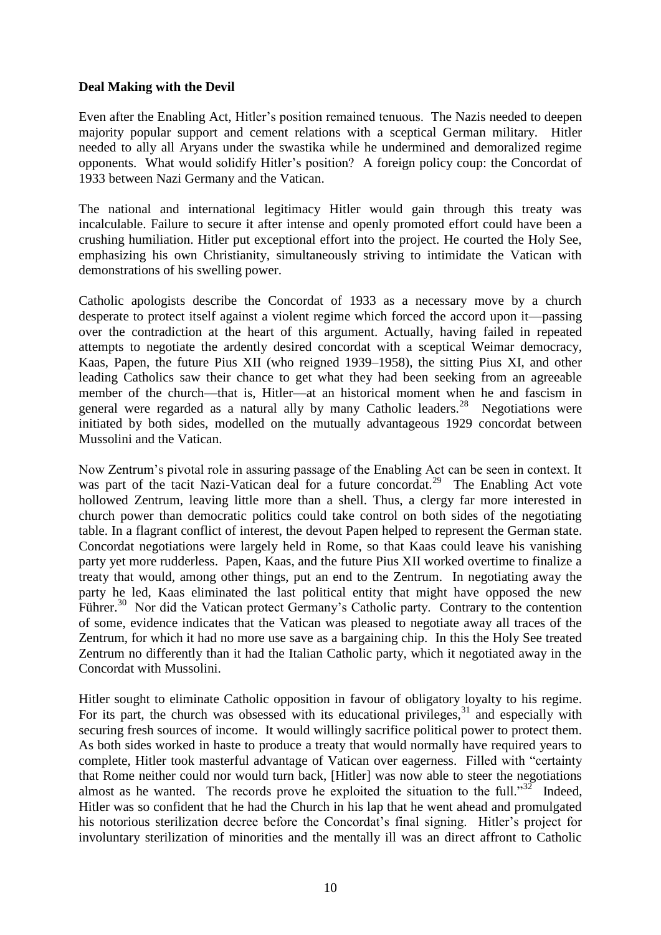## **Deal Making with the Devil**

Even after the Enabling Act, Hitler's position remained tenuous. The Nazis needed to deepen majority popular support and cement relations with a sceptical German military. Hitler needed to ally all Aryans under the swastika while he undermined and demoralized regime opponents. What would solidify Hitler's position? A foreign policy coup: the Concordat of 1933 between Nazi Germany and the Vatican.

The national and international legitimacy Hitler would gain through this treaty was incalculable. Failure to secure it after intense and openly promoted effort could have been a crushing humiliation. Hitler put exceptional effort into the project. He courted the Holy See, emphasizing his own Christianity, simultaneously striving to intimidate the Vatican with demonstrations of his swelling power.

Catholic apologists describe the Concordat of 1933 as a necessary move by a church desperate to protect itself against a violent regime which forced the accord upon it—passing over the contradiction at the heart of this argument. Actually, having failed in repeated attempts to negotiate the ardently desired concordat with a sceptical Weimar democracy, Kaas, Papen, the future Pius XII (who reigned 1939–1958), the sitting Pius XI, and other leading Catholics saw their chance to get what they had been seeking from an agreeable member of the church—that is, Hitler—at an historical moment when he and fascism in general were regarded as a natural ally by many Catholic leaders.<sup>28</sup> Negotiations were initiated by both sides, modelled on the mutually advantageous 1929 concordat between Mussolini and the Vatican.

Now Zentrum's pivotal role in assuring passage of the Enabling Act can be seen in context. It was part of the tacit Nazi-Vatican deal for a future concordat.<sup>29</sup> The Enabling Act vote hollowed Zentrum, leaving little more than a shell. Thus, a clergy far more interested in church power than democratic politics could take control on both sides of the negotiating table. In a flagrant conflict of interest, the devout Papen helped to represent the German state. Concordat negotiations were largely held in Rome, so that Kaas could leave his vanishing party yet more rudderless. Papen, Kaas, and the future Pius XII worked overtime to finalize a treaty that would, among other things, put an end to the Zentrum. In negotiating away the party he led, Kaas eliminated the last political entity that might have opposed the new Führer.<sup>30</sup> Nor did the Vatican protect Germany's Catholic party. Contrary to the contention of some, evidence indicates that the Vatican was pleased to negotiate away all traces of the Zentrum, for which it had no more use save as a bargaining chip. In this the Holy See treated Zentrum no differently than it had the Italian Catholic party, which it negotiated away in the Concordat with Mussolini.

Hitler sought to eliminate Catholic opposition in favour of obligatory loyalty to his regime. For its part, the church was obsessed with its educational privileges,  $31$  and especially with securing fresh sources of income. It would willingly sacrifice political power to protect them. As both sides worked in haste to produce a treaty that would normally have required years to complete, Hitler took masterful advantage of Vatican over eagerness. Filled with "certainty that Rome neither could nor would turn back, [Hitler] was now able to steer the negotiations almost as he wanted. The records prove he exploited the situation to the full." $32^{\circ}$  Indeed, Hitler was so confident that he had the Church in his lap that he went ahead and promulgated his notorious sterilization decree before the Concordat's final signing. Hitler's project for involuntary sterilization of minorities and the mentally ill was an direct affront to Catholic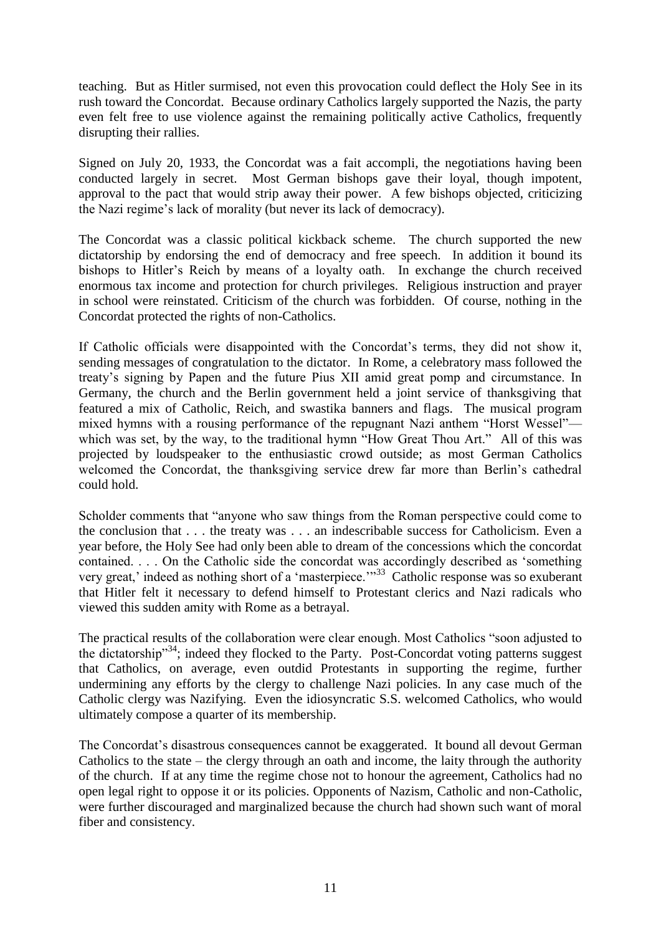teaching. But as Hitler surmised, not even this provocation could deflect the Holy See in its rush toward the Concordat. Because ordinary Catholics largely supported the Nazis, the party even felt free to use violence against the remaining politically active Catholics, frequently disrupting their rallies.

Signed on July 20, 1933, the Concordat was a fait accompli, the negotiations having been conducted largely in secret. Most German bishops gave their loyal, though impotent, approval to the pact that would strip away their power. A few bishops objected, criticizing the Nazi regime's lack of morality (but never its lack of democracy).

The Concordat was a classic political kickback scheme. The church supported the new dictatorship by endorsing the end of democracy and free speech. In addition it bound its bishops to Hitler's Reich by means of a loyalty oath. In exchange the church received enormous tax income and protection for church privileges. Religious instruction and prayer in school were reinstated. Criticism of the church was forbidden. Of course, nothing in the Concordat protected the rights of non-Catholics.

If Catholic officials were disappointed with the Concordat's terms, they did not show it, sending messages of congratulation to the dictator. In Rome, a celebratory mass followed the treaty's signing by Papen and the future Pius XII amid great pomp and circumstance. In Germany, the church and the Berlin government held a joint service of thanksgiving that featured a mix of Catholic, Reich, and swastika banners and flags. The musical program mixed hymns with a rousing performance of the repugnant Nazi anthem "Horst Wessel" which was set, by the way, to the traditional hymn "How Great Thou Art." All of this was projected by loudspeaker to the enthusiastic crowd outside; as most German Catholics welcomed the Concordat, the thanksgiving service drew far more than Berlin's cathedral could hold.

Scholder comments that "anyone who saw things from the Roman perspective could come to the conclusion that . . . the treaty was . . . an indescribable success for Catholicism. Even a year before, the Holy See had only been able to dream of the concessions which the concordat contained. . . . On the Catholic side the concordat was accordingly described as 'something very great,' indeed as nothing short of a 'masterpiece.'"<sup>33</sup> Catholic response was so exuberant that Hitler felt it necessary to defend himself to Protestant clerics and Nazi radicals who viewed this sudden amity with Rome as a betrayal.

The practical results of the collaboration were clear enough. Most Catholics "soon adjusted to the dictatorship"<sup>34</sup>; indeed they flocked to the Party. Post-Concordat voting patterns suggest that Catholics, on average, even outdid Protestants in supporting the regime, further undermining any efforts by the clergy to challenge Nazi policies. In any case much of the Catholic clergy was Nazifying. Even the idiosyncratic S.S. welcomed Catholics, who would ultimately compose a quarter of its membership.

The Concordat's disastrous consequences cannot be exaggerated. It bound all devout German Catholics to the state – the clergy through an oath and income, the laity through the authority of the church. If at any time the regime chose not to honour the agreement, Catholics had no open legal right to oppose it or its policies. Opponents of Nazism, Catholic and non-Catholic, were further discouraged and marginalized because the church had shown such want of moral fiber and consistency.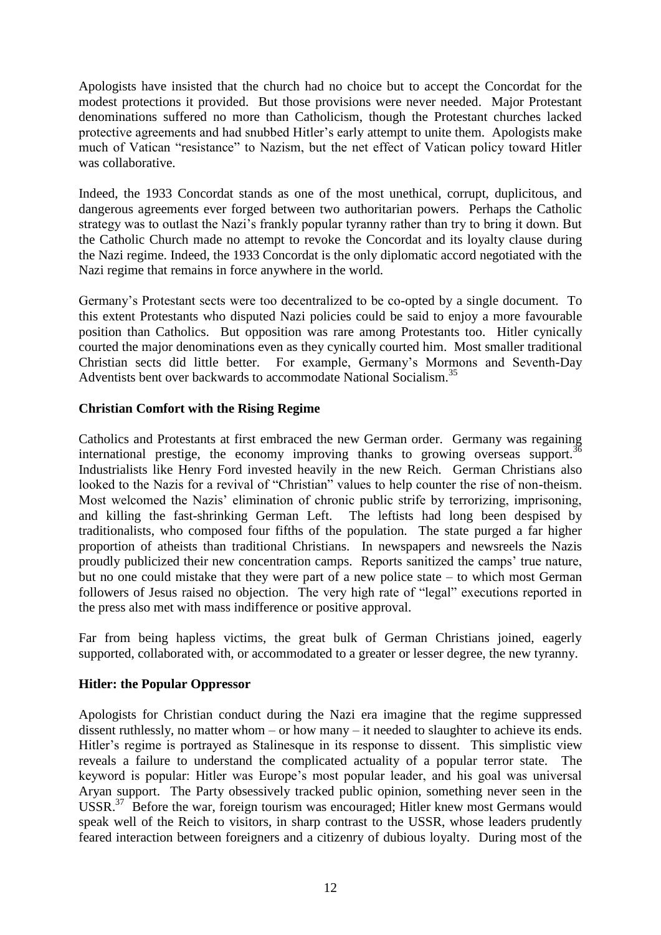Apologists have insisted that the church had no choice but to accept the Concordat for the modest protections it provided. But those provisions were never needed. Major Protestant denominations suffered no more than Catholicism, though the Protestant churches lacked protective agreements and had snubbed Hitler's early attempt to unite them. Apologists make much of Vatican "resistance" to Nazism, but the net effect of Vatican policy toward Hitler was collaborative.

Indeed, the 1933 Concordat stands as one of the most unethical, corrupt, duplicitous, and dangerous agreements ever forged between two authoritarian powers. Perhaps the Catholic strategy was to outlast the Nazi's frankly popular tyranny rather than try to bring it down. But the Catholic Church made no attempt to revoke the Concordat and its loyalty clause during the Nazi regime. Indeed, the 1933 Concordat is the only diplomatic accord negotiated with the Nazi regime that remains in force anywhere in the world.

Germany's Protestant sects were too decentralized to be co-opted by a single document. To this extent Protestants who disputed Nazi policies could be said to enjoy a more favourable position than Catholics. But opposition was rare among Protestants too. Hitler cynically courted the major denominations even as they cynically courted him. Most smaller traditional Christian sects did little better. For example, Germany's Mormons and Seventh-Day Adventists bent over backwards to accommodate National Socialism.<sup>35</sup>

# **Christian Comfort with the Rising Regime**

Catholics and Protestants at first embraced the new German order. Germany was regaining international prestige, the economy improving thanks to growing overseas support.<sup>36</sup> Industrialists like Henry Ford invested heavily in the new Reich. German Christians also looked to the Nazis for a revival of "Christian" values to help counter the rise of non-theism. Most welcomed the Nazis' elimination of chronic public strife by terrorizing, imprisoning, and killing the fast-shrinking German Left. The leftists had long been despised by traditionalists, who composed four fifths of the population. The state purged a far higher proportion of atheists than traditional Christians. In newspapers and newsreels the Nazis proudly publicized their new concentration camps. Reports sanitized the camps' true nature, but no one could mistake that they were part of a new police state – to which most German followers of Jesus raised no objection. The very high rate of "legal" executions reported in the press also met with mass indifference or positive approval.

Far from being hapless victims, the great bulk of German Christians joined, eagerly supported, collaborated with, or accommodated to a greater or lesser degree, the new tyranny.

# **Hitler: the Popular Oppressor**

Apologists for Christian conduct during the Nazi era imagine that the regime suppressed dissent ruthlessly, no matter whom – or how many – it needed to slaughter to achieve its ends. Hitler's regime is portrayed as Stalinesque in its response to dissent. This simplistic view reveals a failure to understand the complicated actuality of a popular terror state. The keyword is popular: Hitler was Europe's most popular leader, and his goal was universal Aryan support. The Party obsessively tracked public opinion, something never seen in the USSR.<sup>37</sup> Before the war, foreign tourism was encouraged; Hitler knew most Germans would speak well of the Reich to visitors, in sharp contrast to the USSR, whose leaders prudently feared interaction between foreigners and a citizenry of dubious loyalty. During most of the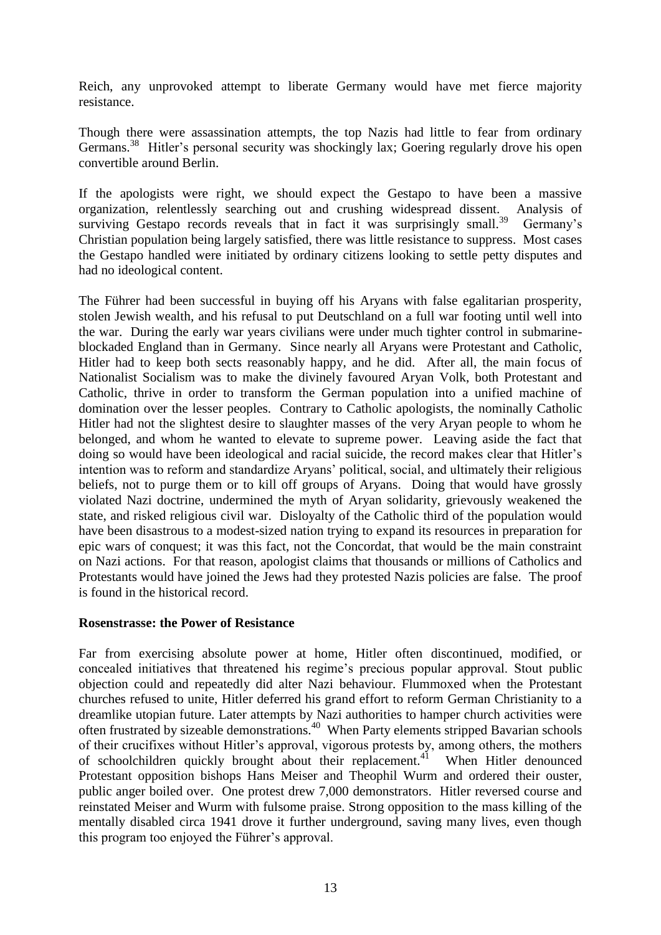Reich, any unprovoked attempt to liberate Germany would have met fierce majority resistance.

Though there were assassination attempts, the top Nazis had little to fear from ordinary Germans.<sup>38</sup> Hitler's personal security was shockingly lax; Goering regularly drove his open convertible around Berlin.

If the apologists were right, we should expect the Gestapo to have been a massive organization, relentlessly searching out and crushing widespread dissent. Analysis of surviving Gestapo records reveals that in fact it was surprisingly small.<sup>39</sup> Germany's Christian population being largely satisfied, there was little resistance to suppress. Most cases the Gestapo handled were initiated by ordinary citizens looking to settle petty disputes and had no ideological content.

The Führer had been successful in buying off his Aryans with false egalitarian prosperity, stolen Jewish wealth, and his refusal to put Deutschland on a full war footing until well into the war. During the early war years civilians were under much tighter control in submarineblockaded England than in Germany. Since nearly all Aryans were Protestant and Catholic, Hitler had to keep both sects reasonably happy, and he did. After all, the main focus of Nationalist Socialism was to make the divinely favoured Aryan Volk, both Protestant and Catholic, thrive in order to transform the German population into a unified machine of domination over the lesser peoples. Contrary to Catholic apologists, the nominally Catholic Hitler had not the slightest desire to slaughter masses of the very Aryan people to whom he belonged, and whom he wanted to elevate to supreme power. Leaving aside the fact that doing so would have been ideological and racial suicide, the record makes clear that Hitler's intention was to reform and standardize Aryans' political, social, and ultimately their religious beliefs, not to purge them or to kill off groups of Aryans. Doing that would have grossly violated Nazi doctrine, undermined the myth of Aryan solidarity, grievously weakened the state, and risked religious civil war. Disloyalty of the Catholic third of the population would have been disastrous to a modest-sized nation trying to expand its resources in preparation for epic wars of conquest; it was this fact, not the Concordat, that would be the main constraint on Nazi actions. For that reason, apologist claims that thousands or millions of Catholics and Protestants would have joined the Jews had they protested Nazis policies are false. The proof is found in the historical record.

## **Rosenstrasse: the Power of Resistance**

Far from exercising absolute power at home, Hitler often discontinued, modified, or concealed initiatives that threatened his regime's precious popular approval. Stout public objection could and repeatedly did alter Nazi behaviour. Flummoxed when the Protestant churches refused to unite, Hitler deferred his grand effort to reform German Christianity to a dreamlike utopian future. Later attempts by Nazi authorities to hamper church activities were often frustrated by sizeable demonstrations.<sup>40</sup> When Party elements stripped Bavarian schools of their crucifixes without Hitler's approval, vigorous protests by, among others, the mothers of schoolchildren quickly brought about their replacement.<sup>41</sup> When Hitler denounced Protestant opposition bishops Hans Meiser and Theophil Wurm and ordered their ouster, public anger boiled over. One protest drew 7,000 demonstrators. Hitler reversed course and reinstated Meiser and Wurm with fulsome praise. Strong opposition to the mass killing of the mentally disabled circa 1941 drove it further underground, saving many lives, even though this program too enjoyed the Führer's approval.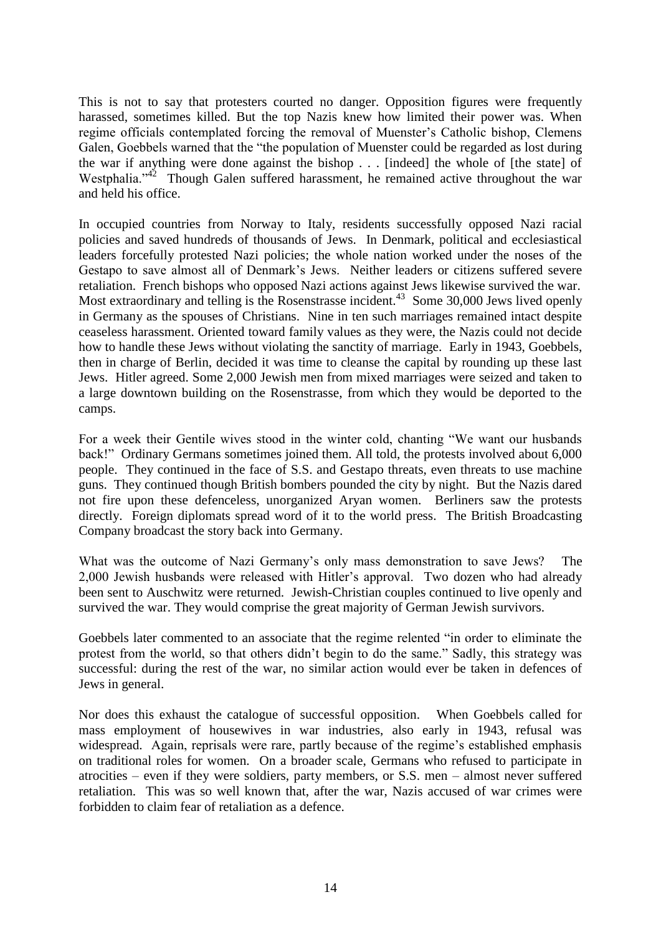This is not to say that protesters courted no danger. Opposition figures were frequently harassed, sometimes killed. But the top Nazis knew how limited their power was. When regime officials contemplated forcing the removal of Muenster's Catholic bishop, Clemens Galen, Goebbels warned that the "the population of Muenster could be regarded as lost during the war if anything were done against the bishop . . . [indeed] the whole of [the state] of Westphalia."<sup>42</sup> Though Galen suffered harassment, he remained active throughout the war and held his office.

In occupied countries from Norway to Italy, residents successfully opposed Nazi racial policies and saved hundreds of thousands of Jews. In Denmark, political and ecclesiastical leaders forcefully protested Nazi policies; the whole nation worked under the noses of the Gestapo to save almost all of Denmark's Jews. Neither leaders or citizens suffered severe retaliation. French bishops who opposed Nazi actions against Jews likewise survived the war. Most extraordinary and telling is the Rosenstrasse incident.<sup>43</sup> Some 30,000 Jews lived openly in Germany as the spouses of Christians. Nine in ten such marriages remained intact despite ceaseless harassment. Oriented toward family values as they were, the Nazis could not decide how to handle these Jews without violating the sanctity of marriage. Early in 1943, Goebbels, then in charge of Berlin, decided it was time to cleanse the capital by rounding up these last Jews. Hitler agreed. Some 2,000 Jewish men from mixed marriages were seized and taken to a large downtown building on the Rosenstrasse, from which they would be deported to the camps.

For a week their Gentile wives stood in the winter cold, chanting "We want our husbands back!" Ordinary Germans sometimes joined them. All told, the protests involved about 6,000 people. They continued in the face of S.S. and Gestapo threats, even threats to use machine guns. They continued though British bombers pounded the city by night. But the Nazis dared not fire upon these defenceless, unorganized Aryan women. Berliners saw the protests directly. Foreign diplomats spread word of it to the world press. The British Broadcasting Company broadcast the story back into Germany.

What was the outcome of Nazi Germany's only mass demonstration to save Jews? The 2,000 Jewish husbands were released with Hitler's approval. Two dozen who had already been sent to Auschwitz were returned. Jewish-Christian couples continued to live openly and survived the war. They would comprise the great majority of German Jewish survivors.

Goebbels later commented to an associate that the regime relented "in order to eliminate the protest from the world, so that others didn't begin to do the same." Sadly, this strategy was successful: during the rest of the war, no similar action would ever be taken in defences of Jews in general.

Nor does this exhaust the catalogue of successful opposition. When Goebbels called for mass employment of housewives in war industries, also early in 1943, refusal was widespread. Again, reprisals were rare, partly because of the regime's established emphasis on traditional roles for women. On a broader scale, Germans who refused to participate in atrocities – even if they were soldiers, party members, or S.S. men – almost never suffered retaliation. This was so well known that, after the war, Nazis accused of war crimes were forbidden to claim fear of retaliation as a defence.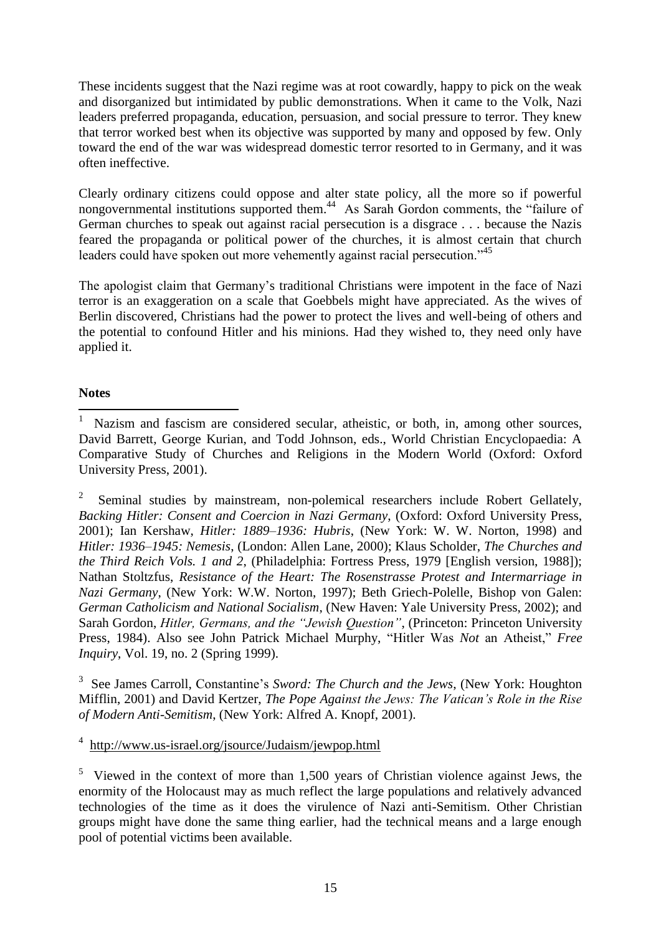These incidents suggest that the Nazi regime was at root cowardly, happy to pick on the weak and disorganized but intimidated by public demonstrations. When it came to the Volk, Nazi leaders preferred propaganda, education, persuasion, and social pressure to terror. They knew that terror worked best when its objective was supported by many and opposed by few. Only toward the end of the war was widespread domestic terror resorted to in Germany, and it was often ineffective.

Clearly ordinary citizens could oppose and alter state policy, all the more so if powerful nongovernmental institutions supported them.<sup>44</sup> As Sarah Gordon comments, the "failure of German churches to speak out against racial persecution is a disgrace . . . because the Nazis feared the propaganda or political power of the churches, it is almost certain that church leaders could have spoken out more vehemently against racial persecution."<sup>45</sup>

The apologist claim that Germany's traditional Christians were impotent in the face of Nazi terror is an exaggeration on a scale that Goebbels might have appreciated. As the wives of Berlin discovered, Christians had the power to protect the lives and well-being of others and the potential to confound Hitler and his minions. Had they wished to, they need only have applied it.

# **Notes**

 $\overline{a}$ 

2 Seminal studies by mainstream, non-polemical researchers include Robert Gellately, *Backing Hitler: Consent and Coercion in Nazi Germany*, (Oxford: Oxford University Press, 2001); Ian Kershaw, *Hitler: 1889–1936: Hubris*, (New York: W. W. Norton, 1998) and *Hitler: 1936–1945: Nemesis*, (London: Allen Lane, 2000); Klaus Scholder, *The Churches and the Third Reich Vols. 1 and 2*, (Philadelphia: Fortress Press, 1979 [English version, 1988]); Nathan Stoltzfus, *Resistance of the Heart: The Rosenstrasse Protest and Intermarriage in Nazi Germany*, (New York: W.W. Norton, 1997); Beth Griech-Polelle, Bishop von Galen: *German Catholicism and National Socialism*, (New Haven: Yale University Press, 2002); and Sarah Gordon, *Hitler, Germans, and the "Jewish Question"*, (Princeton: Princeton University Press, 1984). Also see John Patrick Michael Murphy, "Hitler Was *Not* an Atheist," *Free Inquiry*, Vol. 19, no. 2 (Spring 1999).

3 See James Carroll, Constantine's *Sword: The Church and the Jews*, (New York: Houghton Mifflin, 2001) and David Kertzer, *The Pope Against the Jews: The Vatican's Role in the Rise of Modern Anti-Semitism*, (New York: Alfred A. Knopf, 2001).

<sup>4</sup> <http://www.us-israel.org/jsource/Judaism/jewpop.html>

<sup>5</sup> Viewed in the context of more than 1,500 years of Christian violence against Jews, the enormity of the Holocaust may as much reflect the large populations and relatively advanced technologies of the time as it does the virulence of Nazi anti-Semitism. Other Christian groups might have done the same thing earlier, had the technical means and a large enough pool of potential victims been available.

<sup>1</sup> Nazism and fascism are considered secular, atheistic, or both, in, among other sources, David Barrett, George Kurian, and Todd Johnson, eds., World Christian Encyclopaedia: A Comparative Study of Churches and Religions in the Modern World (Oxford: Oxford University Press, 2001).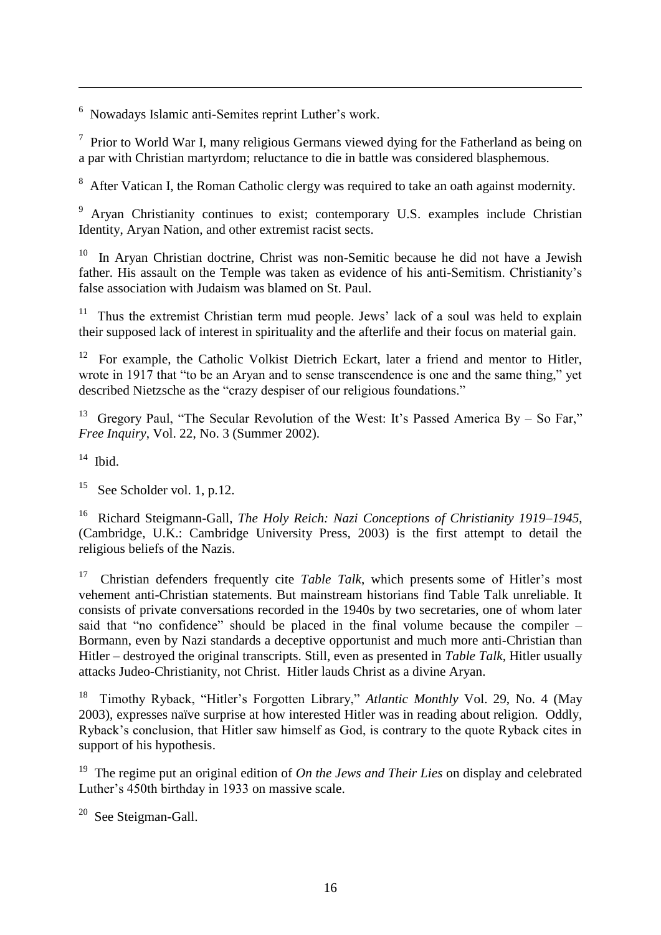<sup>6</sup> Nowadays Islamic anti-Semites reprint Luther's work.

 $7$  Prior to World War I, many religious Germans viewed dying for the Fatherland as being on a par with Christian martyrdom; reluctance to die in battle was considered blasphemous.

 $8$  After Vatican I, the Roman Catholic clergy was required to take an oath against modernity.

<sup>9</sup> Aryan Christianity continues to exist; contemporary U.S. examples include Christian Identity, Aryan Nation, and other extremist racist sects.

10 In Aryan Christian doctrine, Christ was non-Semitic because he did not have a Jewish father. His assault on the Temple was taken as evidence of his anti-Semitism. Christianity's false association with Judaism was blamed on St. Paul.

<sup>11</sup> Thus the extremist Christian term mud people. Jews' lack of a soul was held to explain their supposed lack of interest in spirituality and the afterlife and their focus on material gain.

<sup>12</sup> For example, the Catholic Volkist Dietrich Eckart, later a friend and mentor to Hitler, wrote in 1917 that "to be an Aryan and to sense transcendence is one and the same thing," yet described Nietzsche as the "crazy despiser of our religious foundations."

<sup>13</sup> Gregory Paul, "The Secular Revolution of the West: It's Passed America By – So Far," *Free Inquiry*, Vol. 22, No. 3 (Summer 2002).

 $14$  Ibid.

 $\overline{a}$ 

15 See Scholder vol. 1, p.12.

16 Richard Steigmann-Gall, *The Holy Reich: Nazi Conceptions of Christianity 1919–1945*, (Cambridge, U.K.: Cambridge University Press, 2003) is the first attempt to detail the religious beliefs of the Nazis.

<sup>17</sup> Christian defenders frequently cite *Table Talk*, which presents some of Hitler's most vehement anti-Christian statements. But mainstream historians find Table Talk unreliable. It consists of private conversations recorded in the 1940s by two secretaries, one of whom later said that "no confidence" should be placed in the final volume because the compiler – Bormann, even by Nazi standards a deceptive opportunist and much more anti-Christian than Hitler – destroyed the original transcripts. Still, even as presented in *Table Talk*, Hitler usually attacks Judeo-Christianity, not Christ. Hitler lauds Christ as a divine Aryan.

18 Timothy Ryback, "Hitler's Forgotten Library," *Atlantic Monthly* Vol. 29, No. 4 (May 2003), expresses naïve surprise at how interested Hitler was in reading about religion. Oddly, Ryback's conclusion, that Hitler saw himself as God, is contrary to the quote Ryback cites in support of his hypothesis.

<sup>19</sup> The regime put an original edition of *On the Jews and Their Lies* on display and celebrated Luther's 450th birthday in 1933 on massive scale.

<sup>20</sup> See Steigman-Gall.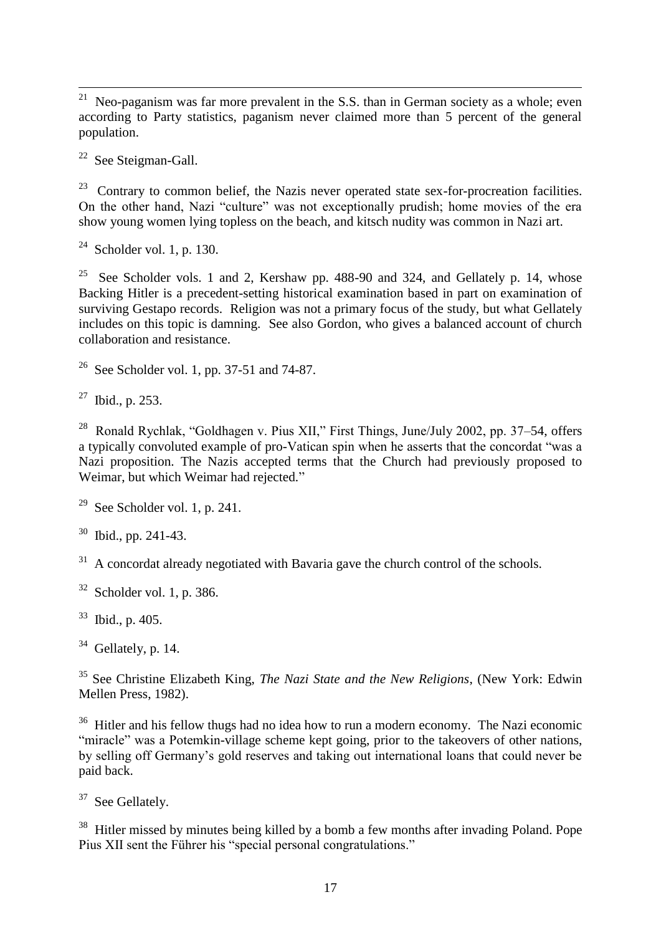<sup>21</sup> Neo-paganism was far more prevalent in the S.S. than in German society as a whole; even according to Party statistics, paganism never claimed more than 5 percent of the general population.

<sup>22</sup> See Steigman-Gall.

 $23$  Contrary to common belief, the Nazis never operated state sex-for-procreation facilities. On the other hand, Nazi "culture" was not exceptionally prudish; home movies of the era show young women lying topless on the beach, and kitsch nudity was common in Nazi art.

 $2^2$  Scholder vol. 1, p. 130.

25 See Scholder vols. 1 and 2, Kershaw pp. 488-90 and 324, and Gellately p. 14, whose Backing Hitler is a precedent-setting historical examination based in part on examination of surviving Gestapo records. Religion was not a primary focus of the study, but what Gellately includes on this topic is damning. See also Gordon, who gives a balanced account of church collaboration and resistance.

<sup>26</sup> See Scholder vol. 1, pp. 37-51 and 74-87.

 $27$  Ibid., p. 253.

<sup>28</sup> Ronald Rychlak, "Goldhagen v. Pius XII," First Things, June/July 2002, pp. 37–54, offers a typically convoluted example of pro-Vatican spin when he asserts that the concordat "was a Nazi proposition. The Nazis accepted terms that the Church had previously proposed to Weimar, but which Weimar had rejected."

 $29$  See Scholder vol. 1, p. 241.

 $30$  Ibid., pp. 241-43.

 $31$  A concordat already negotiated with Bavaria gave the church control of the schools.

 $32$  Scholder vol. 1, p. 386.

<sup>33</sup> Ibid., p. 405.

 $34$  Gellately, p. 14.

<sup>35</sup> See Christine Elizabeth King, *The Nazi State and the New Religions*, (New York: Edwin Mellen Press, 1982).

<sup>36</sup> Hitler and his fellow thugs had no idea how to run a modern economy. The Nazi economic "miracle" was a Potemkin-village scheme kept going, prior to the takeovers of other nations, by selling off Germany's gold reserves and taking out international loans that could never be paid back.

<sup>37</sup> See Gellately.

 $38$  Hitler missed by minutes being killed by a bomb a few months after invading Poland. Pope Pius XII sent the Führer his "special personal congratulations."